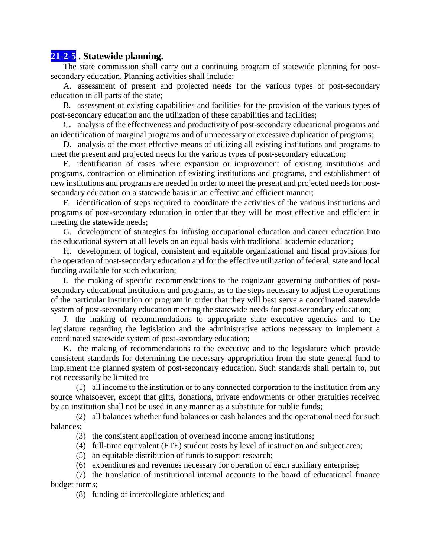## **21-2-5 . Statewide planning.**

The state commission shall carry out a continuing program of statewide planning for postsecondary education. Planning activities shall include:

A. assessment of present and projected needs for the various types of post-secondary education in all parts of the state;

B. assessment of existing capabilities and facilities for the provision of the various types of post-secondary education and the utilization of these capabilities and facilities;

C. analysis of the effectiveness and productivity of post-secondary educational programs and an identification of marginal programs and of unnecessary or excessive duplication of programs;

D. analysis of the most effective means of utilizing all existing institutions and programs to meet the present and projected needs for the various types of post-secondary education;

E. identification of cases where expansion or improvement of existing institutions and programs, contraction or elimination of existing institutions and programs, and establishment of new institutions and programs are needed in order to meet the present and projected needs for postsecondary education on a statewide basis in an effective and efficient manner;

F. identification of steps required to coordinate the activities of the various institutions and programs of post-secondary education in order that they will be most effective and efficient in meeting the statewide needs;

G. development of strategies for infusing occupational education and career education into the educational system at all levels on an equal basis with traditional academic education;

H. development of logical, consistent and equitable organizational and fiscal provisions for the operation of post-secondary education and for the effective utilization of federal, state and local funding available for such education;

I. the making of specific recommendations to the cognizant governing authorities of postsecondary educational institutions and programs, as to the steps necessary to adjust the operations of the particular institution or program in order that they will best serve a coordinated statewide system of post-secondary education meeting the statewide needs for post-secondary education;

J. the making of recommendations to appropriate state executive agencies and to the legislature regarding the legislation and the administrative actions necessary to implement a coordinated statewide system of post-secondary education;

K. the making of recommendations to the executive and to the legislature which provide consistent standards for determining the necessary appropriation from the state general fund to implement the planned system of post-secondary education. Such standards shall pertain to, but not necessarily be limited to:

(1) all income to the institution or to any connected corporation to the institution from any source whatsoever, except that gifts, donations, private endowments or other gratuities received by an institution shall not be used in any manner as a substitute for public funds;

(2) all balances whether fund balances or cash balances and the operational need for such balances;

- (3) the consistent application of overhead income among institutions;
- (4) full-time equivalent (FTE) student costs by level of instruction and subject area;
- (5) an equitable distribution of funds to support research;
- (6) expenditures and revenues necessary for operation of each auxiliary enterprise;

(7) the translation of institutional internal accounts to the board of educational finance budget forms;

(8) funding of intercollegiate athletics; and